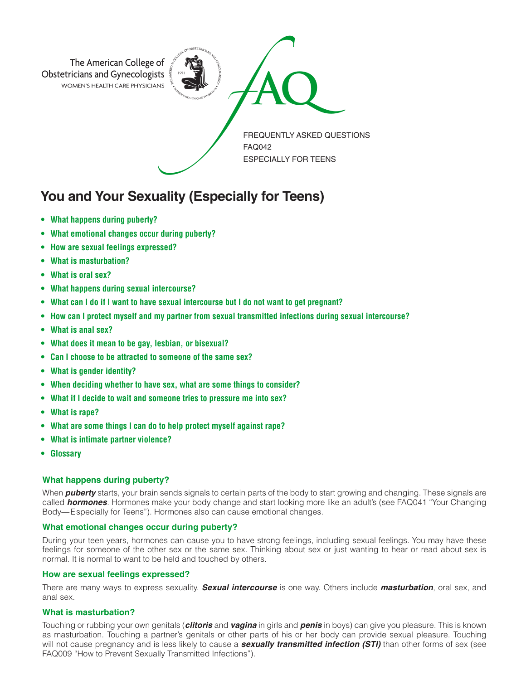

# **You and Your Sexuality (Especially for Teens)**

- **• What happens during puberty?**
- **• What emotional changes occur during puberty?**
- **• How are sexual feelings expressed?**
- **• What is masturbation?**
- **• What is oral sex?**
- **• What happens during sexual intercourse?**
- **• What can I do if I want to have sexual intercourse but I do not want to get pregnant?**
- **• How can I protect myself and my partner from sexual transmitted infections during sexual intercourse?**
- **• What is anal sex?**
- **• What does it mean to be gay, lesbian, or bisexual?**
- **• Can I choose to be attracted to someone of the same sex?**
- **• What is gender identity?**
- **• When deciding whether to have sex, what are some things to consider?**
- **• What if I decide to wait and someone tries to pressure me into sex?**
- **• What is rape?**
- **• What are some things I can do to help protect myself against rape?**
- **• What is intimate partner violence?**
- **• Glossary**

## **What happens during puberty?**

When *puberty* starts, your brain sends signals to certain parts of the body to start growing and changing. These signals are called *hormones*. Hormones make your body change and start looking more like an adult's (see FAQ041 "Your Changing Body—Especially for Teens"). Hormones also can cause emotional changes.

## **What emotional changes occur during puberty?**

During your teen years, hormones can cause you to have strong feelings, including sexual feelings. You may have these feelings for someone of the other sex or the same sex. Thinking about sex or just wanting to hear or read about sex is normal. It is normal to want to be held and touched by others.

## **How are sexual feelings expressed?**

There are many ways to express sexuality. *Sexual intercourse* is one way. Others include *masturbation*, oral sex, and anal sex.

## **What is masturbation?**

Touching or rubbing your own genitals (*clitoris* and *vagina* in girls and *penis* in boys) can give you pleasure. This is known as masturbation. Touching a partner's genitals or other parts of his or her body can provide sexual pleasure. Touching will not cause pregnancy and is less likely to cause a *sexually transmitted infection (STI)* than other forms of sex (see FAQ009 "How to Prevent Sexually Transmitted Infections").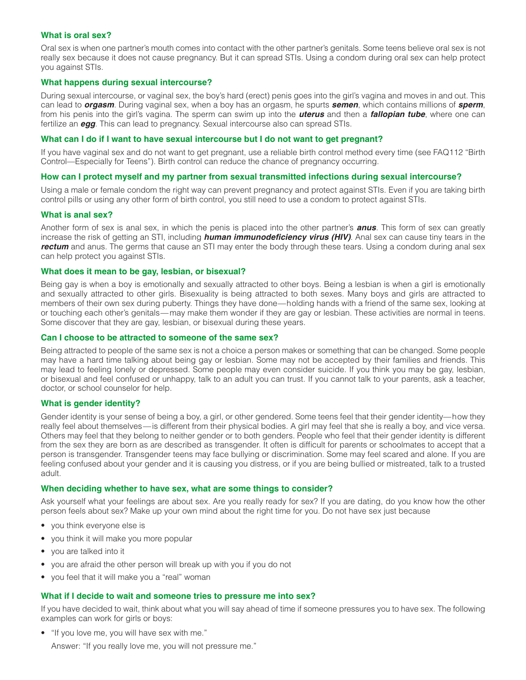# **What is oral sex?**

Oral sex is when one partner's mouth comes into contact with the other partner's genitals. Some teens believe oral sex is not really sex because it does not cause pregnancy. But it can spread STIs. Using a condom during oral sex can help protect you against STIs.

## **What happens during sexual intercourse?**

During sexual intercourse, or vaginal sex, the boy's hard (erect) penis goes into the girl's vagina and moves in and out. This can lead to *orgasm*. During vaginal sex, when a boy has an orgasm, he spurts *semen*, which contains millions of *sperm*, from his penis into the girl's vagina. The sperm can swim up into the *uterus* and then a *fallopian tube*, where one can fertilize an *egg*. This can lead to pregnancy. Sexual intercourse also can spread STIs.

#### **What can I do if I want to have sexual intercourse but I do not want to get pregnant?**

If you have vaginal sex and do not want to get pregnant, use a reliable birth control method every time (see FAQ112 "Birth Control—Especially for Teens"). Birth control can reduce the chance of pregnancy occurring.

## **How can I protect myself and my partner from sexual transmitted infections during sexual intercourse?**

Using a male or female condom the right way can prevent pregnancy and protect against STIs. Even if you are taking birth control pills or using any other form of birth control, you still need to use a condom to protect against STIs.

## **What is anal sex?**

Another form of sex is anal sex, in which the penis is placed into the other partner's *anus*. This form of sex can greatly increase the risk of getting an STI, including *human immunodeficiency virus (HIV)*. Anal sex can cause tiny tears in the *rectum* and anus. The germs that cause an STI may enter the body through these tears. Using a condom during anal sex can help protect you against STIs.

## **What does it mean to be gay, lesbian, or bisexual?**

Being gay is when a boy is emotionally and sexually attracted to other boys. Being a lesbian is when a girl is emotionally and sexually attracted to other girls. Bisexuality is being attracted to both sexes. Many boys and girls are attracted to members of their own sex during puberty. Things they have done—holding hands with a friend of the same sex, looking at or touching each other's genitals— may make them wonder if they are gay or lesbian. These activities are normal in teens. Some discover that they are gay, lesbian, or bisexual during these years.

## **Can I choose to be attracted to someone of the same sex?**

Being attracted to people of the same sex is not a choice a person makes or something that can be changed. Some people may have a hard time talking about being gay or lesbian. Some may not be accepted by their families and friends. This may lead to feeling lonely or depressed. Some people may even consider suicide. If you think you may be gay, lesbian, or bisexual and feel confused or unhappy, talk to an adult you can trust. If you cannot talk to your parents, ask a teacher, doctor, or school counselor for help.

## **What is gender identity?**

Gender identity is your sense of being a boy, a girl, or other gendered. Some teens feel that their gender identity—how they really feel about themselves—is different from their physical bodies. A girl may feel that she is really a boy, and vice versa. Others may feel that they belong to neither gender or to both genders. People who feel that their gender identity is different from the sex they are born as are described as transgender. It often is difficult for parents or schoolmates to accept that a person is transgender. Transgender teens may face bullying or discrimination. Some may feel scared and alone. If you are feeling confused about your gender and it is causing you distress, or if you are being bullied or mistreated, talk to a trusted adult.

#### **When deciding whether to have sex, what are some things to consider?**

Ask yourself what your feelings are about sex. Are you really ready for sex? If you are dating, do you know how the other person feels about sex? Make up your own mind about the right time for you. Do not have sex just because

- you think everyone else is
- you think it will make you more popular
- you are talked into it
- you are afraid the other person will break up with you if you do not
- you feel that it will make you a "real" woman

#### **What if I decide to wait and someone tries to pressure me into sex?**

If you have decided to wait, think about what you will say ahead of time if someone pressures you to have sex. The following examples can work for girls or boys:

• "If you love me, you will have sex with me."

Answer: "If you really love me, you will not pressure me."